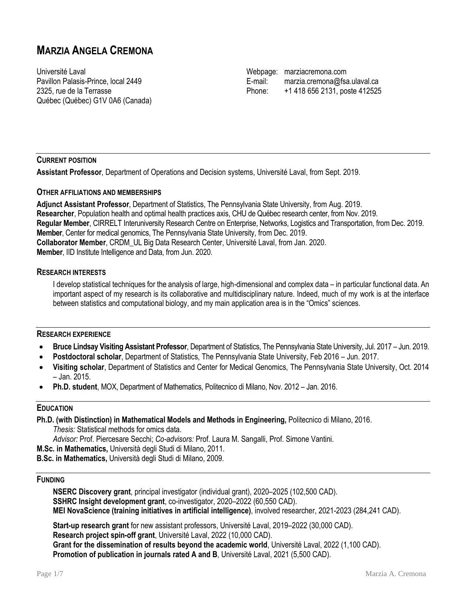# **MARZIA ANGELA CREMONA**

Université Laval Pavillon Palasis-Prince, local 2449 2325, rue de la Terrasse Québec (Québec) G1V 0A6 (Canada)

Webpage: [marziacremona.com](https://marziacremona.com/) E-mail: [marzia.cremona@fsa.ulaval.ca](mailto:marzia.cremona@fsa.ulaval.ca) Phone: +1 418 656 2131, poste 412525

# **CURRENT POSITION**

**Assistant Professor**, Department of Operations and Decision systems, Université Laval, from Sept. 2019.

# **OTHER AFFILIATIONS AND MEMBERSHIPS**

**Adjunct Assistant Professor**, Department of Statistics, The Pennsylvania State University, from Aug. 2019. **Researcher**, Population health and optimal health practices axis, CHU de Québec research center, from Nov. 2019. **Regular Member**, CIRRELT Interuniversity Research Centre on Enterprise, Networks, Logistics and Transportation, from Dec. 2019. **Member**, Center for medical genomics, The Pennsylvania State University, from Dec. 2019. **Collaborator Member**, CRDM\_UL Big Data Research Center, Université Laval, from Jan. 2020. **Member**, IID Institute Intelligence and Data, from Jun. 2020.

# **RESEARCH INTERESTS**

I develop statistical techniques for the analysis of large, high-dimensional and complex data – in particular functional data. An important aspect of my research is its collaborative and multidisciplinary nature. Indeed, much of my work is at the interface between statistics and computational biology, and my main application area is in the "Omics" sciences.

# **RESEARCH EXPERIENCE**

- **Bruce Lindsay Visiting Assistant Professor**, Department of Statistics, The Pennsylvania State University, Jul. 2017 Jun. 2019.
- **Postdoctoral scholar**, Department of Statistics, The Pennsylvania State University, Feb 2016 Jun. 2017.
- **Visiting scholar**, Department of Statistics and Center for Medical Genomics, The Pennsylvania State University, Oct. 2014 – Jan. 2015.
- **Ph.D. student**, MOX, Department of Mathematics, Politecnico di Milano, Nov. 2012 Jan. 2016.

# **EDUCATION**

**Ph.D. (with Distinction) in Mathematical Models and Methods in Engineering,** Politecnico di Milano, 2016.

*Thesis:* Statistical methods for omics data.

*Advisor:* Prof. Piercesare Secchi; *Co-advisors:* Prof. Laura M. Sangalli, Prof. Simone Vantini.

**M.Sc. in Mathematics,** Università degli Studi di Milano, 2011.

**B.Sc. in Mathematics,** Università degli Studi di Milano, 2009.

# **FUNDING**

**NSERC Discovery grant**, principal investigator (individual grant), 2020–2025 (102,500 CAD). **SSHRC Insight development grant**, co-investigator, 2020–2022 (60,550 CAD). **MEI NovaScience (training initiatives in artificial intelligence)**, involved researcher, 2021-2023 (284,241 CAD).

**Start-up research grant** for new assistant professors, Université Laval, 2019–2022 (30,000 CAD). **Research project spin-off grant**, Université Laval, 2022 (10,000 CAD). **Grant for the dissemination of results beyond the academic world**, Université Laval, 2022 (1,100 CAD). **Promotion of publication in journals rated A and B**, Université Laval, 2021 (5,500 CAD).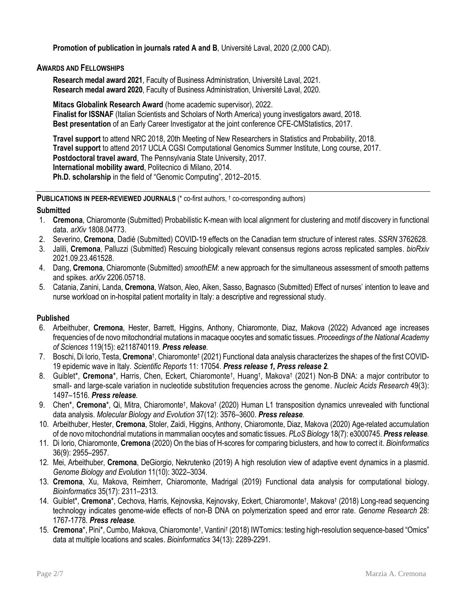**Promotion of publication in journals rated A and B**, Université Laval, 2020 (2,000 CAD).

# **AWARDS AND FELLOWSHIPS**

**Research medal award 2021**, Faculty of Business Administration, Université Laval, 2021. **Research medal award 2020**, Faculty of Business Administration, Université Laval, 2020.

**Mitacs Globalink Research Award** (home academic supervisor), 2022. **Finalist for ISSNAF** (Italian Scientists and Scholars of North America) young investigators award, 2018. **Best presentation** of an Early Career Investigator at the joint conference CFE-CMStatistics, 2017.

**Travel support** to attend NRC 2018, 20th Meeting of New Researchers in Statistics and Probability, 2018. **Travel support** to attend 2017 UCLA CGSI Computational Genomics Summer Institute, Long course, 2017. **Postdoctoral travel award**, The Pennsylvania State University, 2017. **International mobility award**, Politecnico di Milano, 2014. **Ph.D. scholarship** in the field of "Genomic Computing", 2012–2015.

**PUBLICATIONS IN PEER-REVIEWED JOURNALS** (\* co-first authors, † co-corresponding authors)

# **Submitted**

- 1. **Cremona**, Chiaromonte (Submitted[\) Probabilistic K-mean with local alignment for clustering and motif discovery in functional](https://arxiv.org/abs/1808.04773)  [data](https://arxiv.org/abs/1808.04773). *arXiv* 1808.04773.
- 2. Severino, **Cremona**, Dadié (Submitted[\) COVID-19 effects on the Canadian term structure of interest rates.](https://ssrn.com/abstract=3762628) *SSRN* 3762628.
- 3. Jalili, **Cremona**, Palluzzi (Submitted) [Rescuing biologically relevant consensus regions across replicated samples.](https://doi.org/10.1101/2021.09.23.461528) *bioRxiv* 2021.09.23.461528.
- 4. Dang, **Cremona**, Chiaromonte (Submitted) *smoothEM*[: a new approach for the simultaneous assessment of smooth patterns](https://arxiv.org/abs/2206.05718)  [and spikes.](https://arxiv.org/abs/2206.05718) *arXiv* 2206.05718.
- 5. Catania, Zanini, Landa, **Cremona**, Watson, Aleo, Aiken, Sasso, Bagnasco (Submitted) Effect of nurses' intention to leave and nurse workload on in-hospital patient mortality in Italy: a descriptive and regressional study.

# **Published**

- 6. Arbeithuber, **Cremona**, Hester, Barrett, Higgins, Anthony, Chiaromonte, Diaz, Makova (2022) [Advanced age increases](https://doi.org/10.1073/pnas.2118740119)  [frequencies of de novo mitochondrial mutations in macaque oocytes and somatic tissues.](https://doi.org/10.1073/pnas.2118740119) *Proceedings of the National Academy of Sciences* 119(15): e2118740119. *[Press release](https://science.psu.edu/news/Makova4-2022)*.
- 7. Boschi, Di Iorio, Testa, Cremona<sup>†</sup>, Chiaromonte<sup>†</sup> (2021[\) Functional data analysis characterizes the shapes of the first COVID-](https://doi.org/10.1038/s41598-021-95866-y)[19 epidemic wave in Italy.](https://doi.org/10.1038/s41598-021-95866-y) *Scientific Reports* 11: 17054. *[Press release 1,](https://news.psu.edu/story/666631/2021/08/30/research/staying-home-primary-care-and-limiting-contagion-hubs-may-curb) [Press release 2](https://www.santannapisa.it/en/news/covid-19-italy-statistics-sheds-light-reasons-behind-heterogeneity-mortality-rates-across).*
- 8. Guiblet\*, Cremona\*, Harris, Chen, Eckert, Chiaromonte<sup>†</sup>, Huang<sup>†</sup>, Makova† (2021) Non-B DNA: a major contributor to small- [and large-scale variation in nucleotide substitution frequencies across the genome.](https://doi.org/10.1093/nar/gkaa1269) *Nucleic Acids Research* 49(3): 1497–1516. *[Press release](https://science.psu.edu/news/Makova2-2021).*
- 9. Chen\*, Cremona\*, Qi, Mitra, Chiaromonte<sup>†</sup>, Makova<sup>†</sup> (2020) Human L1 transposition dynamics unrevealed with functional [data analysis.](https://doi.org/10.1093/molbev/msaa194) *Molecular Biology and Evolution* 37(12): 3576–3600. *[Press release](https://news.psu.edu/story/633551/2020/09/29/research/scientists-take-step-toward-understanding-jumping-genes-effect).*
- 10. Arbeithuber, Hester, **Cremona**, Stoler, Zaidi, Higgins, Anthony, Chiaromonte, Diaz, Makova (2020[\) Age-related accumulation](https://doi.org/10.1371/journal.pbio.3000745)  [of de novo mitochondrial mutations in mammalian oocytes](https://doi.org/10.1371/journal.pbio.3000745) and somatic tissues. *PLoS Biology* 18(7): e3000745. *[Press release](https://news.psu.edu/story/621812/2020/07/15/research/new-mutations-accumulate-reproductive-cells-older-mice).*
- 11. Di Iorio, Chiaromonte, **Cremona** (2020[\) On the bias of H-scores for comparing biclusters, and how to correct it.](https://doi.org/10.1093/bioinformatics/btaa060) *Bioinformatics* 36(9): 2955–2957.
- 12. Mei, Arbeithuber, **Cremona**, DeGiorgio, Nekrutenko (2019) [A high resolution view of adaptive event](https://doi.org/10.1093/gbe/evz197) dynamics in a plasmid. *Genome Biology and Evolution* 11(10): 3022–3034.
- 13. **Cremona**, Xu, Makova, Reimherr, Chiaromonte, Madrigal (2019) [Functional data analysis for computational biology.](https://doi.org/10.1093/bioinformatics/btz045)  *Bioinformatics* 35(17): 2311–2313.
- 14. Guiblet\*, Cremona\*, Cechova, Harris, Kejnovska, Kejnovsky, Eckert, Chiaromonte<sup>†</sup>, Makova<sup>†</sup> (2018) Long-read sequencing [technology indicates genome-wide effects of non-B DNA on polymerization speed and error rate.](https://doi.org/10.1101/gr.241257.118) *Genome Research* 28: 1767-1778. *[Press release](https://news.psu.edu/story/547657/2018/11/13/research/dna-structure-impacts-rate-and-accuracy-dna-synthesis).*
- 15. Cremona\*, Pini\*, Cumbo, Makova, Chiaromonte<sup>†</sup>, Vantini<sup>†</sup> (2018[\) IWTomics: testing high-resolution sequence-](https://doi.org/10.1093/bioinformatics/bty090)based "Omics" [data at multiple locations and scales.](https://doi.org/10.1093/bioinformatics/bty090) *Bioinformatics* 34(13): 2289-2291.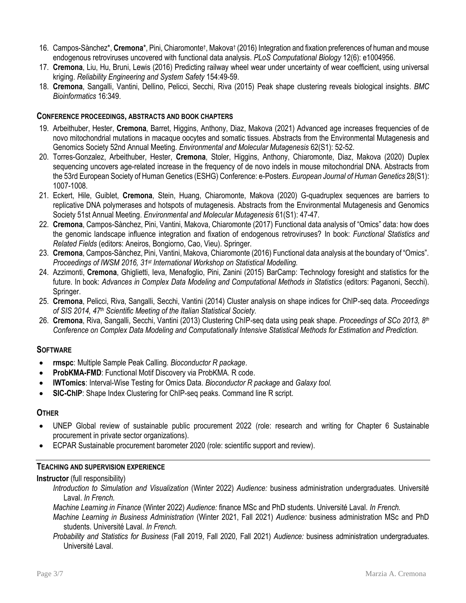- 16. Campos-Sànchez<sup>\*</sup>, Cremona<sup>\*</sup>, Pini, Chiaromonte<sup>†</sup>, Makova† (2016) Integration and fixation preferences of human and mouse [endogenous retroviruses uncovered with functional data analysis.](https://doi.org/10.1371/journal.pcbi.1004956) *PLoS Computational Biology* 12(6): e1004956.
- 17. **Cremona**, Liu, Hu, Bruni, Lewis (2016) [Predicting railway wheel wear under uncertainty of wear coefficient, using universal](https://doi.org/10.1016/j.ress.2016.05.012)  [kriging.](https://doi.org/10.1016/j.ress.2016.05.012) *Reliability Engineering and System Safety* 154:49-59.
- 18. **Cremona**, Sangalli, Vantini, Dellino, Pelicci, Secchi, Riva (2015) [Peak shape clustering reveals biological insights.](https://doi.org/10.1186/s12859-015-0787-6) *BMC Bioinformatics* 16:349.

# **CONFERENCE PROCEEDINGS, ABSTRACTS AND BOOK CHAPTERS**

- 19. Arbeithuber, Hester, **Cremona**, Barret, Higgins, Anthony, Diaz, Makova (2021) [Advanced age increases frequencies of de](https://doi.org/10.1002/em.22458)  [novo mitochondrial mutations in macaque oocytes and somatic tissues.](https://doi.org/10.1002/em.22458) Abstracts from the Environmental Mutagenesis and Genomics Society 52nd Annual Meeting. *Environmental and Molecular Mutagenesis* 62(S1): 52-52.
- 20. Torres-Gonzalez, Arbeithuber, Hester, **Cremona**, Stoler, Higgins, Anthony, Chiaromonte, Diaz, Makova (2020) [Duplex](https://doi.org/10.1038/s41431-020-00741-5)  [sequencing uncovers age-related increase in the frequency of de novo indels in mouse mitochondrial DNA.](https://doi.org/10.1038/s41431-020-00741-5) Abstracts from the 53rd European Society of Human Genetics (ESHG) Conference: e-Posters. *European Journal of Human Genetics* 28(S1): 1007-1008.
- 21. Eckert, Hile, Guiblet, **Cremona**, Stein, Huang, Chiaromonte, Makova (2020) [G-quadruplex sequences are barriers to](https://doi.org/10.1002/em.22405)  [replicative DNA polymerases and hotspots of mutagenesis.](https://doi.org/10.1002/em.22405) Abstracts from the Environmental Mutagenesis and Genomics Society 51st Annual Meeting. *Environmental and Molecular Mutagenesis* 61(S1): 47-47.
- 22. **Cremona**, Campos-Sànchez, Pini, Vantini, Makova, Chiaromonte (2017) [Functional data analysis of "Omics" data: how does](https://doi.org/10.1007/978-3-319-55846-2_12)  [the genomic landscape influence integration and fixation of endogenous retroviruses?](https://doi.org/10.1007/978-3-319-55846-2_12) In book: *Functional Statistics and Related Fields* (editors: Aneiros, Bongiorno, Cao, Vieu). Springer.
- 23. **Cremona**, Campos-Sànchez, Pini, Vantini, Makova, Chiaromonte (2016) Functional data analysis at the boundary of "Omics". *Proceedings of IWSM 2016, 31st International Workshop on Statistical Modelling.*
- 24. Azzimonti, **Cremona**, Ghiglietti, Ieva, Menafoglio, Pini, Zanini (2015) [BarCamp: Technology foresight and statistics for the](https://doi.org/10.1007/978-3-319-11149-0_4)  [future.](https://doi.org/10.1007/978-3-319-11149-0_4) In book: *Advances in Complex Data Modeling and Computational Methods in Statistics* (editors: Paganoni, Secchi). Springer.
- 25. **Cremona**, Pelicci, Riva, Sangalli, Secchi, Vantini (2014) Cluster analysis on shape indices for ChIP-seq data. *Proceedings of SIS 2014, 47th Scientific Meeting of the Italian Statistical Society.*
- 26. **Cremona**, Riva, Sangalli, Secchi, Vantini (2013) Clustering ChIP-seq data using peak shape. *Proceedings of SCo 2013, 8th Conference on Complex Data Modeling and Computationally Intensive Statistical Methods for Estimation and Prediction.*

# **SOFTWARE**

- **rmspc**: Multiple Sample Peak Calling. *[Bioconductor R package](https://doi.org/doi:10.18129/B9.bioc.rmspc)*.
- **ProbKMA-FMD**: Functional Motif Discovery via ProbKMA. [R code.](https://github.com/marziacremona/ProbKMA-FMD)
- **IWTomics**: Interval-Wise Testing for Omics Data. *[Bioconductor R package](http://bioconductor.org/packages/IWTomics)* and *[Galaxy tool.](https://usegalaxy.org/)*
- **SIC-ChIP:** Shape Index Clustering for ChIP-seq peaks[. Command line R script.](https://github.com/marziacremona/SIC-ChIP)

# **OTHER**

- UNEP Global review of sustainable public procurement 2022 (role: research and writing for Chapter 6 Sustainable procurement in private sector organizations).
- [ECPAR Sustainable procurement barometer 2020](https://www.ecpar.org/en/sustainable-procurement-barometer) (role: scientific support and review).

# **TEACHING AND SUPERVISION EXPERIENCE**

# **Instructor** (full responsibility)

*Introduction to Simulation and Visualization* (Winter 2022) *Audience:* business administration undergraduates. Université Laval. *In French.*

*Machine Learning in Finance* (Winter 2022) *Audience:* finance MSc and PhD students. Université Laval. *In French.*

*Machine Learning in Business Administration* (Winter 2021, Fall 2021) *Audience:* business administration MSc and PhD students. Université Laval. *In French.*

*Probability and Statistics for Business* (Fall 2019, Fall 2020, Fall 2021) *Audience:* business administration undergraduates. Université Laval.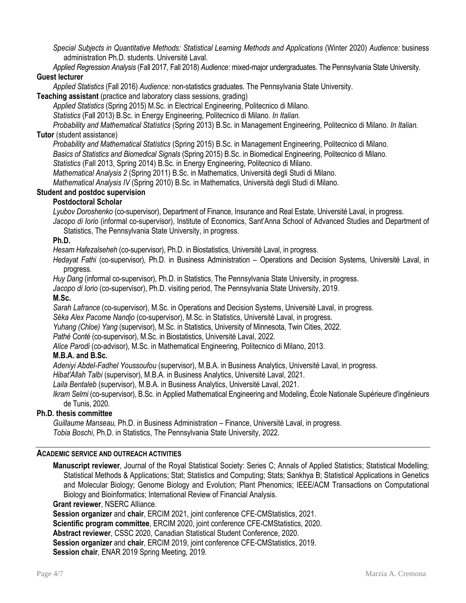*Special Subjects in Quantitative Methods: Statistical Learning Methods and Applications* (Winter 2020) *Audience:* business administration Ph.D. students. Université Laval.

*Applied Regression Analysis* (Fall 2017, Fall 2018) *Audience:* mixed-major undergraduates. The Pennsylvania State University.

# **Guest lecturer**

*Applied Statistics* (Fall 2016) *Audience:* non-statistics graduates. The Pennsylvania State University.

**Teaching assistant** (practice and laboratory class sessions, grading)

*Applied Statistics* (Spring 2015) M.Sc. in Electrical Engineering, Politecnico di Milano.

*Statistics* (Fall 2013) B.Sc. in Energy Engineering, Politecnico di Milano. *In Italian.*

*Probability and Mathematical Statistics* (Spring 2013) B.Sc. in Management Engineering, Politecnico di Milano. *In Italian.* **Tutor** (student assistance)

*Probability and Mathematical Statistics* (Spring 2015) B.Sc. in Management Engineering, Politecnico di Milano.

*Basics of Statistics and Biomedical Signals* (Spring 2015) B.Sc. in Biomedical Engineering, Politecnico di Milano.

*Statistics* (Fall 2013, Spring 2014) B.Sc. in Energy Engineering, Politecnico di Milano.

*Mathematical Analysis 2* (Spring 2011) B.Sc. in Mathematics, Università degli Studi di Milano.

*Mathematical Analysis IV* (Spring 2010) B.Sc. in Mathematics, Università degli Studi di Milano.

# **Student and postdoc supervision**

# **Postdoctoral Scholar**

*Lyubov Doroshenko* (co-supervisor), Department of Finance, Insurance and Real Estate, Université Laval, in progress. *Jacopo di Iorio* (informal co-supervisor), Institute of Economics, Sant'Anna School of Advanced Studies and Department of

Statistics, The Pennsylvania State University, in progress.

# **Ph.D.**

*Hesam Hafezalseheh* (co-supervisor), Ph.D. in Biostatistics, Université Laval, in progress.

*Hedayat Fathi* (co-supervisor), Ph.D. in Business Administration – Operations and Decision Systems, Université Laval, in progress.

*Huy Dang* (informal co-supervisor), Ph.D. in Statistics, The Pennsylvania State University, in progress.

*Jacopo di Iorio* (co-supervisor), Ph.D. visiting period, The Pennsylvania State University, 2019.

# **M.Sc.**

*Sarah Lafrance* (co-supervisor), M.Sc. in Operations and Decision Systems, Université Laval, in progress.

*Séka Alex Pacome Nandjo* (co-supervisor), M.Sc. in Statistics, Université Laval, in progress.

*Yuhang (Chloe) Yang* (supervisor), M.Sc. in Statistics, University of Minnesota, Twin Cities, 2022.

*Pathé Conté* (co-supervisor), M.Sc. in Biostatistics, Université Laval, 2022.

*Alice Parodi* (co-advisor), M.Sc. in Mathematical Engineering, Politecnico di Milano, 2013.

# **M.B.A. and B.Sc.**

*Adeniyi Abdel-Fadhel Youssoufou* (supervisor), M.B.A. in Business Analytics, Université Laval, in progress.

*Hibat'Allah Talbi* (supervisor), M.B.A. in Business Analytics, Université Laval, 2021.

*Laila Bentaleb* (supervisor), M.B.A. in Business Analytics, Université Laval, 2021.

*Ikram Selmi* (co-supervisor), B.Sc. in Applied Mathematical Engineering and Modeling, École Nationale Supérieure d'ingénieurs de Tunis, 2020.

# **Ph.D. thesis committee**

*Guillaume Manseau,* Ph.D. in Business Administration – Finance, Université Laval, in progress. *Tobia Boschi*, Ph.D. in Statistics, The Pennsylvania State University, 2022.

# **ACADEMIC SERVICE AND OUTREACH ACTIVITIES**

**Manuscript reviewer**, Journal of the Royal Statistical Society: Series C; Annals of Applied Statistics; Statistical Modelling; Statistical Methods & Applications; Stat; Statistics and Computing; Stats; Sankhya B; Statistical Applications in Genetics and Molecular Biology; Genome Biology and Evolution; Plant Phenomics; IEEE/ACM Transactions on Computational Biology and Bioinformatics; International Review of Financial Analysis.

# **Grant reviewer**, NSERC Alliance.

**Session organizer** and **chair**, ERCIM 2021, joint conference CFE-CMStatistics, 2021.

**Scientific program committee**, ERCIM 2020, joint conference CFE-CMStatistics, 2020.

**Abstract reviewer**, CSSC 2020, Canadian Statistical Student Conference, 2020.

**Session organizer** and **chair**, ERCIM 2019, joint conference CFE-CMStatistics, 2019.

**Session chair**, ENAR 2019 Spring Meeting, 2019.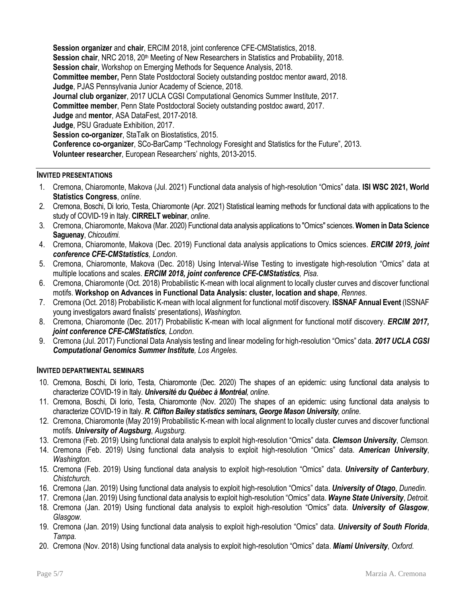**Session organizer** and **chair**, ERCIM 2018, joint conference CFE-CMStatistics, 2018. Session chair, NRC 2018, 20<sup>th</sup> Meeting of New Researchers in Statistics and Probability, 2018. **Session chair**, Workshop on Emerging Methods for Sequence Analysis, 2018. **Committee member,** Penn State Postdoctoral Society outstanding postdoc mentor award, 2018. **Judge**, PJAS Pennsylvania Junior Academy of Science, 2018. **Journal club organizer**, 2017 UCLA CGSI Computational Genomics Summer Institute, 2017. **Committee member**, Penn State Postdoctoral Society outstanding postdoc award, 2017. **Judge** and **mentor**, ASA DataFest, 2017-2018. **Judge**, PSU Graduate Exhibition, 2017. **Session co-organizer**, StaTalk on Biostatistics, 2015. **Conference co-organizer**, SCo-BarCamp "Technology Foresight and Statistics for the Future", 2013. **Volunteer researcher**, European Researchers' nights, 2013-2015.

# **INVITED PRESENTATIONS**

- 1. Cremona, Chiaromonte, Makova (Jul. 2021) Functional data analysis of high-resolution "Omics" data. **ISI WSC 2021, World Statistics Congress**, *online*.
- 2. Cremona, Boschi, Di Iorio, Testa, Chiaromonte (Apr. 2021) Statistical learning methods for functional data with applications to the study of COVID-19 in Italy. **CIRRELT webinar**, *online*.
- 3. Cremona, Chiaromonte, Makova (Mar. 2020) Functional data analysis applications to "Omics" sciences. **Women in Data Science Saguenay**, *Chicoutimi*.
- 4. Cremona, Chiaromonte, Makova (Dec. 2019) Functional data analysis applications to Omics sciences. *ERCIM 2019, joint conference CFE-CMStatistics, London*.
- 5. Cremona, Chiaromonte, Makova (Dec. 2018) Using Interval-Wise Testing to investigate high-resolution "Omics" data at multiple locations and scales. *ERCIM 2018, joint conference CFE-CMStatistics, Pisa.*
- 6. Cremona, Chiaromonte (Oct. 2018) Probabilistic K-mean with local alignment to locally cluster curves and discover functional motifs. **Workshop on Advances in Functional Data Analysis: cluster, location and shape**, *Rennes*.
- 7. Cremona (Oct. 2018) Probabilistic K-mean with local alignment for functional motif discovery. **ISSNAF Annual Event** (ISSNAF young investigators award finalists' presentations), *Washington*.
- 8. Cremona, Chiaromonte (Dec. 2017) Probabilistic K-mean with local alignment for functional motif discovery. *ERCIM 2017, joint conference CFE-CMStatistics, London*.
- 9. Cremona (Jul. 2017) Functional Data Analysis testing and linear modeling for high-resolution "Omics" data. *2017 UCLA CGSI Computational Genomics Summer Institute, Los Angeles.*

# **INVITED DEPARTMENTAL SEMINARS**

- 10. Cremona, Boschi, Di Iorio, Testa, Chiaromonte (Dec. 2020) The shapes of an epidemic: using functional data analysis to characterize COVID-19 in Italy. *Université du Québec à Montréal, online*.
- 11. Cremona, Boschi, Di Iorio, Testa, Chiaromonte (Nov. 2020) The shapes of an epidemic: using functional data analysis to characterize COVID-19 in Italy. *R. Clifton Bailey statistics seminars, George Mason University, online*.
- 12. Cremona, Chiaromonte (May 2019) Probabilistic K-mean with local alignment to locally cluster curves and discover functional motifs. *University of Augsburg*, *Augsburg.*
- 13. Cremona (Feb. 2019) Using functional data analysis to exploit high-resolution "Omics" data. *Clemson University*, *Clemson.*
- 14. Cremona (Feb. 2019) Using functional data analysis to exploit high-resolution "Omics" data. *American University*, *Washington.*
- 15. Cremona (Feb. 2019) Using functional data analysis to exploit high-resolution "Omics" data. *University of Canterbury*, *Chistchurch.*
- 16. Cremona (Jan. 2019) Using functional data analysis to exploit high-resolution "Omics" data. *University of Otago*, *Dunedin.*
- 17. Cremona (Jan. 2019) Using functional data analysis to exploit high-resolution "Omics" data. *Wayne State University*, *Detroit.*
- 18. Cremona (Jan. 2019) Using functional data analysis to exploit high-resolution "Omics" data. *University of Glasgow*, *Glasgow.*
- 19. Cremona (Jan. 2019) Using functional data analysis to exploit high-resolution "Omics" data. *University of South Florida*, *Tampa.*
- 20. Cremona (Nov. 2018) Using functional data analysis to exploit high-resolution "Omics" data. *Miami University*, *Oxford.*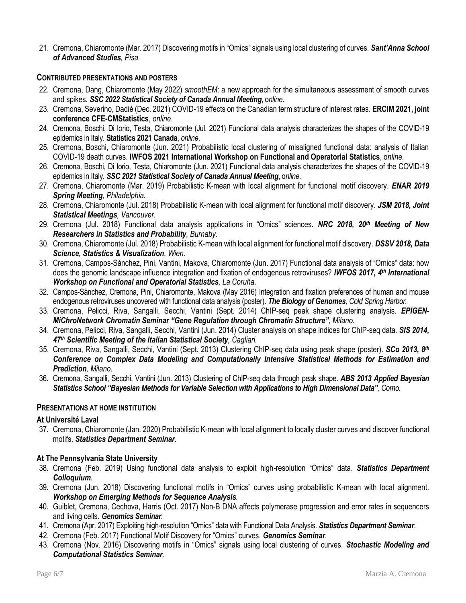21. Cremona, Chiaromonte (Mar. 2017) Discovering motifs in "Omics" signals using local clustering of curves. *Sant'Anna School of Advanced Studies, Pisa.*

# **CONTRIBUTED PRESENTATIONS AND POSTERS**

- 22. Cremona, Dang, Chiaromonte (May 2022) *smoothEM*: a new approach for the simultaneous assessment of smooth curves and spikes. *SSC 2022 Statistical Society of Canada Annual Meeting*, o*nline*.
- 23. Cremona, Severino, Dadié (Dec. 2021) COVID-19 effects on the Canadian term structure of interest rates. **ERCIM 2021, joint conference CFE-CMStatistics**, *online*.
- 24. Cremona, Boschi, Di Iorio, Testa, Chiaromonte (Jul. 2021) Functional data analysis characterizes the shapes of the COVID-19 epidemics in Italy. **Statistics 2021 Canada**, *online*.
- 25. Cremona, Boschi, Chiaromonte (Jun. 2021) Probabilistic local clustering of misaligned functional data: analysis of Italian COVID-19 death curves. **IWFOS 2021 International Workshop on Functional and Operatorial Statistics**, o*nline*.
- 26. Cremona, Boschi, Di Iorio, Testa, Chiaromonte (Jun. 2021) Functional data analysis characterizes the shapes of the COVID-19 epidemics in Italy. *SSC 2021 Statistical Society of Canada Annual Meeting*, o*nline*.
- 27. Cremona, Chiaromonte (Mar. 2019) Probabilistic K-mean with local alignment for functional motif discovery. *ENAR 2019 Spring Meeting, Philadelphia.*
- 28. Cremona, Chiaromonte (Jul. 2018) Probabilistic K-mean with local alignment for functional motif discovery. *JSM 2018, Joint Statistical Meetings, Vancouver.*
- 29. Cremona (Jul. 2018) Functional data analysis applications in "Omics" sciences. *NRC 2018, 20th Meeting of New Researchers in Statistics and Probability, Burnaby.*
- 30. Cremona, Chiaromonte (Jul. 2018) Probabilistic K-mean with local alignment for functional motif discovery. *DSSV 2018, Data Science, Statistics & Visualization, Wien.*
- 31. Cremona, Campos-Sànchez, Pini, Vantini, Makova, Chiaromonte (Jun. 2017) Functional data analysis of "Omics" data: how does the genomic landscape influence integration and fixation of endogenous retroviruses? *IWFOS 2017, 4th International Workshop on Functional and Operatorial Statistics, La Coruña.*
- 32. Campos-Sànchez, Cremona, Pini, Chiaromonte, Makova (May 2016) Integration and fixation preferences of human and mouse endogenous retroviruses uncovered with functional data analysis (poster). *The Biology of Genomes, Cold Spring Harbor.*
- 33. Cremona, Pelicci, Riva, Sangalli, Secchi, Vantini (Sept. 2014) ChIP-seq peak shape clustering analysis. *EPIGEN-MiChroNetwork Chromatin Seminar "Gene Regulation through Chromatin Structure", Milano.*
- 34. Cremona, Pelicci, Riva, Sangalli, Secchi, Vantini (Jun. 2014) Cluster analysis on shape indices for ChIP-seq data. *SIS 2014, 47th Scientific Meeting of the Italian Statistical Society, Cagliari.*
- 35. Cremona, Riva, Sangalli, Secchi, Vantini (Sept. 2013) Clustering ChIP-seq data using peak shape (poster). *SCo 2013, 8th Conference on Complex Data Modeling and Computationally Intensive Statistical Methods for Estimation and Prediction, Milano.*
- 36. Cremona, Sangalli, Secchi, Vantini (Jun. 2013) Clustering of ChIP-seq data through peak shape. *ABS 2013 Applied Bayesian Statistics School "Bayesian Methods for Variable Selection with Applications to High Dimensional Data", Como.*

# **PRESENTATIONS AT HOME INSTITUTION**

# **At Université Laval**

37. Cremona, Chiaromonte (Jan. 2020) Probabilistic K-mean with local alignment to locally cluster curves and discover functional motifs. *Statistics Department Seminar.*

# **At The Pennsylvania State University**

- 38. Cremona (Feb. 2019) Using functional data analysis to exploit high-resolution "Omics" data. *Statistics Department Colloquium.*
- 39. Cremona (Jun. 2018) Discovering functional motifs in "Omics" curves using probabilistic K-mean with local alignment. *Workshop on Emerging Methods for Sequence Analysis.*
- 40. Guiblet, Cremona, Cechova, Harris (Oct. 2017) Non-B DNA affects polymerase progression and error rates in sequencers and living cells. *Genomics Seminar.*
- 41. Cremona (Apr. 2017) Exploiting high-resolution "Omics" data with Functional Data Analysis. *Statistics Department Seminar*.
- 42. Cremona (Feb. 2017) Functional Motif Discovery for "Omics" curves. *Genomics Seminar.*
- 43. Cremona (Nov. 2016) Discovering motifs in "Omics" signals using local clustering of curves. *Stochastic Modeling and Computational Statistics Seminar.*